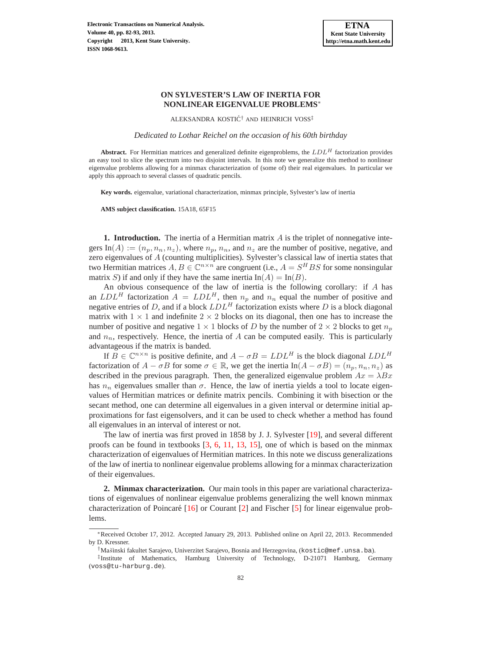

# **ON SYLVESTER'S LAW OF INERTIA FOR NONLINEAR EIGENVALUE PROBLEMS**<sup>∗</sup>

ALEKSANDRA KOSTIĆ<sup>†</sup> AND HEINRICH VOSS<sup>‡</sup>

*Dedicated to Lothar Reichel on the occasion of his 60th birthday*

**Abstract.** For Hermitian matrices and generalized definite eigenproblems, the  $LDL<sup>H</sup>$  factorization provides an easy tool to slice the spectrum into two disjoint intervals. In this note we generalize this method to nonlinear eigenvalue problems allowing for a minmax characterization of (some of) their real eigenvalues. In particular we apply this approach to several classes of quadratic pencils.

**Key words.** eigenvalue, variational characterization, minmax principle, Sylvester's law of inertia

**AMS subject classification.** 15A18, 65F15

**1. Introduction.** The inertia of a Hermitian matrix A is the triplet of nonnegative integers In(A) :=  $(n_p, n_n, n_z)$ , where  $n_p, n_n$ , and  $n_z$  are the number of positive, negative, and zero eigenvalues of A (counting multiplicities). Sylvester's classical law of inertia states that two Hermitian matrices  $A, B \in \mathbb{C}^{n \times n}$  are congruent (i.e.,  $A = S^H B S$  for some nonsingular matrix S) if and only if they have the same inertia  $In(A) = In(B)$ .

An obvious consequence of the law of inertia is the following corollary: if A has an  $LDL<sup>H</sup>$  factorization  $A = LDL<sup>H</sup>$ , then  $n_p$  and  $n_n$  equal the number of positive and negative entries of D, and if a block  $LDL<sup>H</sup>$  factorization exists where D is a block diagonal matrix with  $1 \times 1$  and indefinite  $2 \times 2$  blocks on its diagonal, then one has to increase the number of positive and negative  $1 \times 1$  blocks of D by the number of  $2 \times 2$  blocks to get  $n_p$ and  $n_n$ , respectively. Hence, the inertia of A can be computed easily. This is particularly advantageous if the matrix is banded.

If  $B \in \mathbb{C}^{n \times n}$  is positive definite, and  $A - \sigma B = LDL^H$  is the block diagonal  $LDL^H$ factorization of  $A - \sigma B$  for some  $\sigma \in \mathbb{R}$ , we get the inertia In $(A - \sigma B) = (n_p, n_n, n_z)$  as described in the previous paragraph. Then, the generalized eigenvalue problem  $Ax = \lambda Bx$ has  $n_n$  eigenvalues smaller than  $\sigma$ . Hence, the law of inertia yields a tool to locate eigenvalues of Hermitian matrices or definite matrix pencils. Combining it with bisection or the secant method, one can determine all eigenvalues in a given interval or determine initial approximations for fast eigensolvers, and it can be used to check whether a method has found all eigenvalues in an interval of interest or not.

The law of inertia was first proved in 1858 by J. J. Sylvester [\[19\]](#page-11-0), and several different proofs can be found in textbooks  $[3, 6, 11, 13, 15]$  $[3, 6, 11, 13, 15]$  $[3, 6, 11, 13, 15]$  $[3, 6, 11, 13, 15]$  $[3, 6, 11, 13, 15]$  $[3, 6, 11, 13, 15]$  $[3, 6, 11, 13, 15]$  $[3, 6, 11, 13, 15]$  $[3, 6, 11, 13, 15]$ , one of which is based on the minmax characterization of eigenvalues of Hermitian matrices. In this note we discuss generalizations of the law of inertia to nonlinear eigenvalue problems allowing for a minmax characterization of their eigenvalues.

**2. Minmax characterization.** Our main tools in this paper are variational characterizations of eigenvalues of nonlinear eigenvalue problems generalizing the well known minmax characterization of Poincaré  $[16]$  $[16]$  or Courant  $[2]$  and Fischer  $[5]$  for linear eigenvalue problems.

<sup>∗</sup>Received October 17, 2012. Accepted January 29, 2013. Published online on April 22, 2013. Recommended by D. Kressner.

<sup>†</sup>Mas˘inski fakultet Sarajevo, Univerzitet Sarajevo, Bosnia and Herzegovina, (kostic@mef.unsa.ba).

<sup>‡</sup> Institute of Mathematics, Hamburg University of Technology, D-21071 Hamburg, Germany (voss@tu-harburg.de).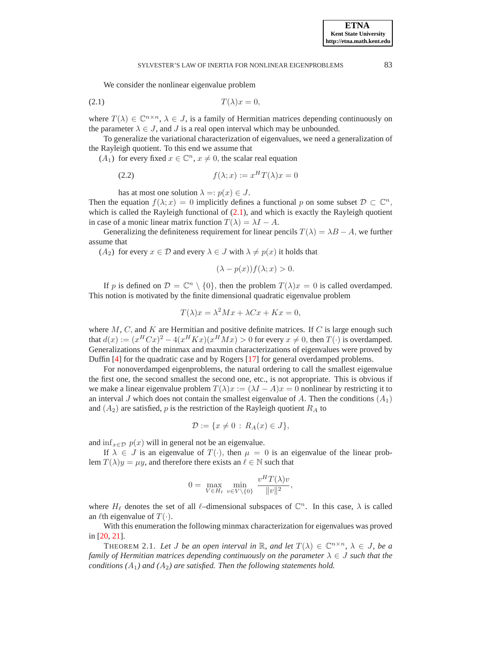We consider the nonlinear eigenvalue problem

$$
(2.1) \t\t T(\lambda)x = 0,
$$

where  $T(\lambda) \in \mathbb{C}^{n \times n}$ ,  $\lambda \in J$ , is a family of Hermitian matrices depending continuously on the parameter  $\lambda \in J$ , and J is a real open interval which may be unbounded.

To generalize the variational characterization of eigenvalues, we need a generalization of the Rayleigh quotient. To this end we assume that

 $(A_1)$  for every fixed  $x \in \mathbb{C}^n$ ,  $x \neq 0$ , the scalar real equation

$$
(2.2) \t\t f(\lambda; x) := x^H T(\lambda) x = 0
$$

has at most one solution  $\lambda =: p(x) \in J$ .

Then the equation  $f(\lambda; x) = 0$  implicitly defines a functional p on some subset  $\mathcal{D} \subset \mathbb{C}^n$ , which is called the Rayleigh functional of  $(2.1)$ , and which is exactly the Rayleigh quotient in case of a monic linear matrix function  $T(\lambda) = \lambda I - A$ .

Generalizing the definiteness requirement for linear pencils  $T(\lambda) = \lambda B - A$ , we further assume that

 $(A_2)$  for every  $x \in \mathcal{D}$  and every  $\lambda \in J$  with  $\lambda \neq p(x)$  it holds that

$$
(\lambda - p(x))f(\lambda; x) > 0.
$$

If p is defined on  $\mathcal{D} = \mathbb{C}^n \setminus \{0\}$ , then the problem  $T(\lambda)x = 0$  is called overdamped. This notion is motivated by the finite dimensional quadratic eigenvalue problem

$$
T(\lambda)x = \lambda^2 Mx + \lambda Cx + Kx = 0,
$$

where  $M$ ,  $C$ , and  $K$  are Hermitian and positive definite matrices. If  $C$  is large enough such that  $d(x) := (x^H C x)^2 - 4(x^H K x)(x^H M x) > 0$  for every  $x \neq 0$ , then  $T(\cdot)$  is overdamped. Generalizations of the minmax and maxmin characterizations of eigenvalues were proved by Duffin [\[4\]](#page-10-4) for the quadratic case and by Rogers [\[17\]](#page-11-5) for general overdamped problems.

For nonoverdamped eigenproblems, the natural ordering to call the smallest eigenvalue the first one, the second smallest the second one, etc., is not appropriate. This is obvious if we make a linear eigenvalue problem  $T(\lambda)x := (\lambda I - A)x = 0$  nonlinear by restricting it to an interval J which does not contain the smallest eigenvalue of A. Then the conditions  $(A_1)$ and  $(A_2)$  are satisfied, p is the restriction of the Rayleigh quotient  $R_A$  to

$$
\mathcal{D} := \{x \neq 0 \,:\, R_A(x) \in J\},\
$$

and inf<sub> $x \in \mathcal{D}$ </sub>  $p(x)$  will in general not be an eigenvalue.

If  $\lambda \in J$  is an eigenvalue of  $T(\cdot)$ , then  $\mu = 0$  is an eigenvalue of the linear problem  $T(\lambda)y = \mu y$ , and therefore there exists an  $\ell \in \mathbb{N}$  such that

$$
0 = \max_{V \in H_{\ell}} \min_{v \in V \setminus \{0\}} \frac{v^H T(\lambda) v}{\|v\|^2},
$$

where  $H_{\ell}$  denotes the set of all  $\ell$ -dimensional subspaces of  $\mathbb{C}^{n}$ . In this case,  $\lambda$  is called an  $\ell$ th eigenvalue of  $T(\cdot)$ .

With this enumeration the following minmax characterization for eigenvalues was proved in [\[20,](#page-11-6) [21\]](#page-11-7).

<span id="page-1-1"></span>THEOREM 2.1. Let *J* be an open interval in R, and let  $T(\lambda) \in \mathbb{C}^{n \times n}$ ,  $\lambda \in J$ , be a *family of Hermitian matrices depending continuously on the parameter*  $\lambda \in J$  *such that the conditions*  $(A_1)$  *and*  $(A_2)$  *are satisfied. Then the following statements hold.* 

<span id="page-1-2"></span>

<span id="page-1-0"></span>**ETNA Kent State University http://etna.math.kent.edu**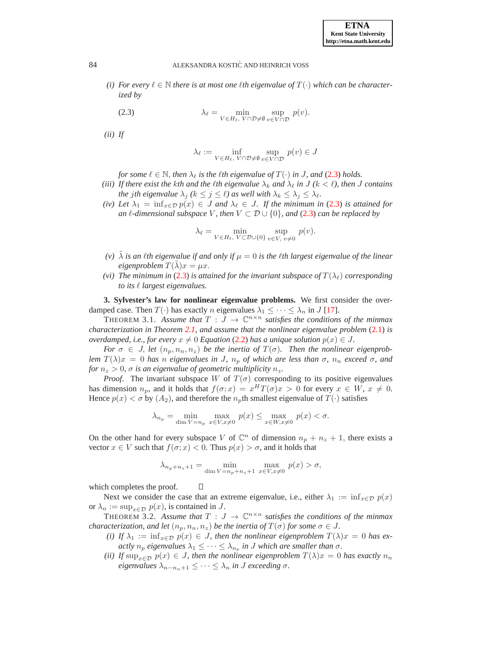*(i)* For every  $\ell \in \mathbb{N}$  there is at most one  $\ell$ th eigenvalue of  $T(\cdot)$  which can be character*ized by*

<span id="page-2-0"></span>(2.3) 
$$
\lambda_{\ell} = \min_{V \in H_{\ell}, V \cap \mathcal{D} \neq \emptyset} \sup_{v \in V \cap \mathcal{D}} p(v).
$$

*(ii) If*

$$
\lambda_\ell := \inf_{V \in H_\ell, \ V \cap \mathcal{D} \neq \emptyset} \sup_{v \in V \cap \mathcal{D}} p(v) \in J
$$

*for some*  $\ell \in \mathbb{N}$ , *then*  $\lambda_{\ell}$  *is the lth eigenvalue of*  $T(\cdot)$  *in J*, *and* [\(2.3\)](#page-2-0) *holds.* 

- *(iii)* If there exist the kth and the *k*th eigenvalue  $\lambda_k$  and  $\lambda_\ell$  in J ( $k < \ell$ ), then J contains *the jth eigenvalue*  $\lambda_j$  ( $k \leq j \leq \ell$ ) *as well with*  $\lambda_k \leq \lambda_j \leq \lambda_\ell$ .
- *(iv)* Let  $\lambda_1 = \inf_{x \in \mathcal{D}} p(x) \in J$  *and*  $\lambda_\ell \in J$ *. If the minimum in* [\(2.3\)](#page-2-0) *is attained for an*  $\ell$ -dimensional subspace V, then  $V \subset \mathcal{D} \cup \{0\}$ , and [\(2.3\)](#page-2-0) can be replaced by

$$
\lambda_{\ell} = \min_{V \in H_{\ell}, V \subset \mathcal{D} \cup \{0\}} \sup_{v \in V, v \neq 0} p(v).
$$

- *(v)*  $\lambda$  *is an lth eigenvalue if and only if*  $\mu = 0$  *is the lth largest eigenvalue of the linear eigenproblem*  $T(\lambda)x = \mu x$ .
- *(vi)* The minimum in [\(2.3\)](#page-2-0) is attained for the invariant subspace of  $T(\lambda_\ell)$  corresponding *to its* ℓ *largest eigenvalues.*

**3. Sylvester's law for nonlinear eigenvalue problems.** We first consider the overdamped case. Then  $T(\cdot)$  has exactly *n* eigenvalues  $\lambda_1 \leq \cdots \leq \lambda_n$  in J [\[17\]](#page-11-5).

<span id="page-2-1"></span>THEOREM 3.1. Assume that  $T : J \to \mathbb{C}^{n \times n}$  satisfies the conditions of the minmax *characterization in Theorem [2.1,](#page-1-1) and assume that the nonlinear eigenvalue problem* [\(2.1\)](#page-1-0) *is overdamped, i.e., for every*  $x \neq 0$  *Equation* [\(2.2\)](#page-1-2) *has a unique solution*  $p(x) \in J$ *.* 

*For*  $\sigma \in J$ , *let*  $(n_p, n_n, n_z)$  *be the inertia of*  $T(\sigma)$ *. Then the nonlinear eigenproblem*  $T(\lambda)x = 0$  *has n eigenvalues in J,*  $n_p$  *of which are less than σ,*  $n_n$  *exceed σ, and for*  $n_z > 0$ ,  $\sigma$  *is an eigenvalue of geometric multiplicity*  $n_z$ .

*Proof.* The invariant subspace W of  $T(\sigma)$  corresponding to its positive eigenvalues has dimension  $n_p$ , and it holds that  $f(\sigma; x) = x^H T(\sigma) x > 0$  for every  $x \in W$ ,  $x \neq 0$ . Hence  $p(x) < \sigma$  by  $(A_2)$ , and therefore the  $n_p$ th smallest eigenvalue of  $T(\cdot)$  satisfies

$$
\lambda_{n_p} = \min_{\dim V = n_p} \max_{x \in V, x \neq 0} p(x) \le \max_{x \in W, x \neq 0} p(x) < \sigma.
$$

On the other hand for every subspace V of  $\mathbb{C}^n$  of dimension  $n_p + n_z + 1$ , there exists a vector  $x \in V$  such that  $f(\sigma; x) < 0$ . Thus  $p(x) > \sigma$ , and it holds that

$$
\lambda_{n_p+n_z+1} = \min_{\dim V = n_p+n_z+1} \max_{x \in V, x \neq 0} p(x) > \sigma,
$$

which completes the proof.

Next we consider the case that an extreme eigenvalue, i.e., either  $\lambda_1 := \inf_{x \in \mathcal{D}} p(x)$ or  $\lambda_n := \sup_{x \in \mathcal{D}} p(x)$ , is contained in J.

О

<span id="page-2-2"></span>THEOREM 3.2. Assume that  $T: J \to \mathbb{C}^{n \times n}$  satisfies the conditions of the minmax *characterization, and let*  $(n_p, n_n, n_z)$  *be the inertia of*  $T(\sigma)$  *for some*  $\sigma \in J$ *.* 

- *(i)* If  $\lambda_1 := \inf_{x \in \mathcal{D}} p(x) \in J$ , then the nonlinear eigenproblem  $T(\lambda)x = 0$  has ex*actly*  $n_p$  *eigenvalues*  $\lambda_1 \leq \cdots \leq \lambda_{n_p}$  *in J* which are smaller than  $\sigma$ .
- *(ii)* If  $\sup_{x \in \mathcal{D}} p(x) \in J$ , then the nonlinear eigenproblem  $T(\lambda)x = 0$  has exactly  $n_n$ *eigenvalues*  $\lambda_{n-n_n+1} \leq \cdots \leq \lambda_n$  *in J exceeding*  $\sigma$ *.*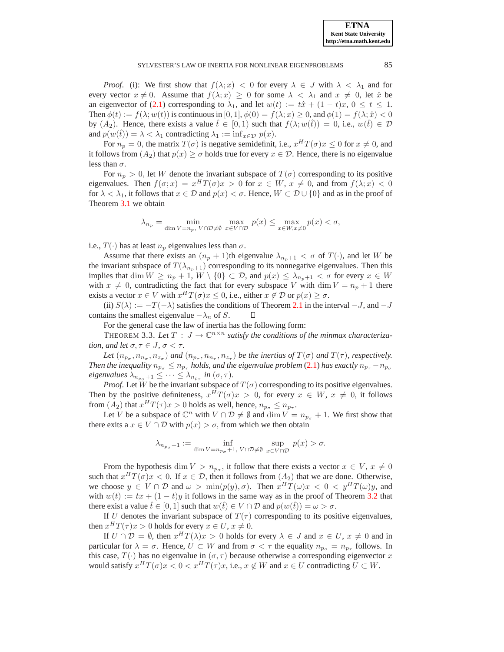*Proof.* (i): We first show that  $f(\lambda; x) < 0$  for every  $\lambda \in J$  with  $\lambda < \lambda_1$  and for every vector  $x \neq 0$ . Assume that  $f(\lambda; x) \geq 0$  for some  $\lambda < \lambda_1$  and  $x \neq 0$ , let  $\hat{x}$  be an eigenvector of [\(2.1\)](#page-1-0) corresponding to  $\lambda_1$ , and let  $w(t) := t\hat{x} + (1-t)x$ ,  $0 \le t \le 1$ . Then  $\phi(t) := f(\lambda; w(t))$  is continuous in  $[0, 1], \phi(0) = f(\lambda; x) \ge 0$ , and  $\phi(1) = f(\lambda; \hat{x}) < 0$ by  $(A_2)$ . Hence, there exists a value  $\hat{t} \in [0,1)$  such that  $f(\lambda; w(\hat{t})) = 0$ , i.e.,  $w(\hat{t}) \in \mathcal{D}$ and  $p(w(t)) = \lambda < \lambda_1$  contradicting  $\lambda_1 := \inf_{x \in \mathcal{D}} p(x)$ .

For  $n_p = 0$ , the matrix  $T(\sigma)$  is negative semidefinit, i.e.,  $x^H T(\sigma) x \leq 0$  for  $x \neq 0$ , and it follows from  $(A_2)$  that  $p(x) \geq \sigma$  holds true for every  $x \in \mathcal{D}$ . Hence, there is no eigenvalue less than  $\sigma$ .

For  $n_p > 0$ , let W denote the invariant subspace of  $T(\sigma)$  corresponding to its positive eigenvalues. Then  $f(\sigma; x) = x^H T(\sigma) x > 0$  for  $x \in W$ ,  $x \neq 0$ , and from  $f(\lambda; x) < 0$ for  $\lambda < \lambda_1$ , it follows that  $x \in \mathcal{D}$  and  $p(x) < \sigma$ . Hence,  $W \subset \mathcal{D} \cup \{0\}$  and as in the proof of Theorem [3.1](#page-2-1) we obtain

$$
\lambda_{n_p} = \min_{\dim V = n_p, V \cap \mathcal{D} \neq \emptyset} \max_{x \in V \cap \mathcal{D}} p(x) \le \max_{x \in W, x \neq 0} p(x) < \sigma,
$$

i.e.,  $T(\cdot)$  has at least  $n_p$  eigenvalues less than  $\sigma$ .

Assume that there exists an  $(n_p + 1)$ th eigenvalue  $\lambda_{n_p+1} < \sigma$  of  $T(\cdot)$ , and let W be the invariant subspace of  $T(\lambda_{n_p+1})$  corresponding to its nonnegative eigenvalues. Then this implies that dim  $W \ge n_p + 1$ ,  $W \setminus \{0\} \subset \mathcal{D}$ , and  $p(x) \le \lambda_{n_p+1} < \sigma$  for every  $x \in W$ with  $x \neq 0$ , contradicting the fact that for every subspace V with dim  $V = n_p + 1$  there exists a vector  $x \in V$  with  $x^H T(\sigma) x \leq 0$ , i.e., either  $x \notin \mathcal{D}$  or  $p(x) \geq \sigma$ .

(ii)  $S(\lambda) := -T(-\lambda)$  satisfies the conditions of Theorem [2.1](#page-1-1) in the interval  $-J$ , and  $-J$ contains the smallest eigenvalue  $-\lambda_n$  of S. П

For the general case the law of inertia has the following form:

THEOREM 3.3. Let  $T : J \to \mathbb{C}^{n \times n}$  satisfy the conditions of the minmax characteriza*tion, and let*  $\sigma, \tau \in J$ ,  $\sigma < \tau$ *.* 

Let  $(n_{p_\sigma}, n_{n_\sigma}, n_{z_\sigma})$  and  $(n_{p_\tau}, n_{n_\tau}, n_{z_\tau})$  be the inertias of  $T(\sigma)$  and  $T(\tau)$ , respectively. *Then the inequality*  $n_{p_{\sigma}} \leq n_{p_{\tau}}$  *holds, and the eigenvalue problem* [\(2.1\)](#page-1-0) *has exactly*  $n_{p_{\tau}} - n_{p_{\sigma}}$  $eigenvalues \lambda_{n_{p_{\sigma}}+1} \leq \cdots \leq \lambda_{n_{p_{\tau}}} \text{ in } (\sigma, \tau).$ 

*Proof.* Let W be the invariant subspace of  $T(\sigma)$  corresponding to its positive eigenvalues. Then by the positive definiteness,  $x^H T(\sigma) x > 0$ , for every  $x \in W$ ,  $x \neq 0$ , it follows from  $(A_2)$  that  $x^H T(\tau) x > 0$  holds as well, hence,  $n_{p_{\sigma}} \leq n_{p_{\tau}}$ .

Let V be a subspace of  $\mathbb{C}^n$  with  $V \cap \mathcal{D} \neq \emptyset$  and  $\dim V = n_{p_\sigma} + 1$ . We first show that there exits a  $x \in V \cap D$  with  $p(x) > \sigma$ , from which we then obtain

<span id="page-3-0"></span>
$$
\lambda_{n_{p_{\sigma}}+1} := \inf_{\dim V = n_{p_{\sigma}}+1, V \cap \mathcal{D} \neq \emptyset} \sup_{x \in V \cap \mathcal{D}} p(x) > \sigma.
$$

From the hypothesis dim  $V > n_{p_{\sigma}}$ , it follow that there exists a vector  $x \in V$ ,  $x \neq 0$ such that  $x^H T(\sigma) x < 0$ . If  $x \in \mathcal{D}$ , then it follows from  $(A_2)$  that we are done. Otherwise, we choose  $y \in V \cap \mathcal{D}$  and  $\omega > \min(p(y), \sigma)$ . Then  $x^H T(\omega) x < 0 < y^H T(\omega) y$ , and with  $w(t) := tx + (1-t)y$  it follows in the same way as in the proof of Theorem [3.2](#page-2-2) that there exist a value  $\hat{t} \in [0, 1]$  such that  $w(\hat{t}) \in V \cap \mathcal{D}$  and  $p(w(\hat{t})) = \omega > \sigma$ .

If U denotes the invariant subspace of  $T(\tau)$  corresponding to its positive eigenvalues, then  $x^H T(\tau) x > 0$  holds for every  $x \in U, x \neq 0$ .

If  $U \cap \mathcal{D} = \emptyset$ , then  $x^H T(\lambda) x > 0$  holds for every  $\lambda \in J$  and  $x \in U$ ,  $x \neq 0$  and in particular for  $\lambda = \sigma$ . Hence,  $U \subset W$  and from  $\sigma < \tau$  the equality  $n_{p_{\sigma}} = n_{p_{\tau}}$  follows. In this case,  $T(\cdot)$  has no eigenvalue in  $(\sigma, \tau)$  because otherwise a corresponding eigenvector x would satisfy  $x^H T(\sigma) x < 0 < x^H T(\tau) x$ , i.e.,  $x \notin W$  and  $x \in U$  contradicting  $U \subset W$ .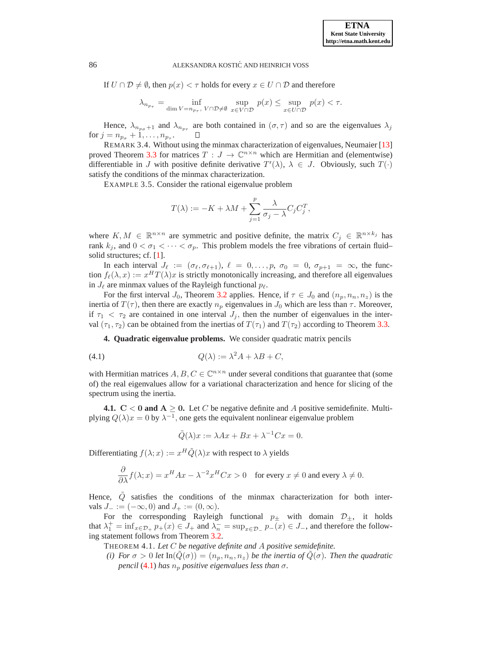If  $U \cap \mathcal{D} \neq \emptyset$ , then  $p(x) < \tau$  holds for every  $x \in U \cap \mathcal{D}$  and therefore

$$
\lambda_{n_{p_{\tau}}} = \inf_{\dim V = n_{p_{\tau}}, \ V \cap \mathcal{D} \neq \emptyset} \ \sup_{x \in V \cap \mathcal{D}} \ p(x) \leq \sup_{x \in U \cap \mathcal{D}} \ p(x) < \tau.
$$

Hence,  $\lambda_{n_{p_{\sigma}}+1}$  and  $\lambda_{n_{p_{\tau}}}$  are both contained in  $(\sigma, \tau)$  and so are the eigenvalues  $\lambda_j$ for  $j = n_{p_{\sigma}} + 1, ..., n_{p_{\tau}}$ .

REMARK 3.4. Without using the minmax characterization of eigenvalues, Neumaier [\[13\]](#page-11-2) proved Theorem [3.3](#page-3-0) for matrices  $T: J \to \mathbb{C}^{n \times n}$  which are Hermitian and (elementwise) differentiable in J with positive definite derivative  $T'(\lambda)$ ,  $\lambda \in J$ . Obviously, such  $T(\cdot)$ satisfy the conditions of the minmax characterization.

EXAMPLE 3.5. Consider the rational eigenvalue problem

$$
T(\lambda) := -K + \lambda M + \sum_{j=1}^{p} \frac{\lambda}{\sigma_j - \lambda} C_j C_j^T,
$$

where  $K, M \in \mathbb{R}^{n \times n}$  are symmetric and positive definite, the matrix  $C_j \in \mathbb{R}^{n \times k_j}$  has rank  $k_j$ , and  $0 < \sigma_1 < \cdots < \sigma_p$ . This problem models the free vibrations of certain fluid– solid structures; cf. [\[1\]](#page-10-5).

In each interval  $J_{\ell} := (\sigma_{\ell}, \sigma_{\ell+1}), \ell = 0, \ldots, p, \sigma_0 = 0, \sigma_{p+1} = \infty$ , the function  $f_{\ell}(\lambda, x) := x^H T(\lambda) x$  is strictly monotonically increasing, and therefore all eigenvalues in  $J_{\ell}$  are minmax values of the Rayleigh functional  $p_{\ell}$ .

For the first interval  $J_0$ , Theorem [3.2](#page-2-2) applies. Hence, if  $\tau \in J_0$  and  $(n_p, n_n, n_z)$  is the inertia of  $T(\tau)$ , then there are exactly  $n_p$  eigenvalues in  $J_0$  which are less than  $\tau$ . Moreover, if  $\tau_1 < \tau_2$  are contained in one interval  $J_j$ , then the number of eigenvalues in the interval  $(\tau_1, \tau_2)$  can be obtained from the inertias of  $T(\tau_1)$  and  $T(\tau_2)$  according to Theorem [3.3.](#page-3-0)

**4. Quadratic eigenvalue problems.** We consider quadratic matrix pencils

$$
(4.1) \tQ(\lambda) := \lambda^2 A + \lambda B + C,
$$

with Hermitian matrices  $A, B, C \in \mathbb{C}^{n \times n}$  under several conditions that guarantee that (some of) the real eigenvalues allow for a variational characterization and hence for slicing of the spectrum using the inertia.

**4.1.**  $C < 0$  and  $A \ge 0$ . Let C be negative definite and A positive semidefinite. Multiplying  $Q(\lambda)x = 0$  by  $\lambda^{-1}$ , one gets the equivalent nonlinear eigenvalue problem

<span id="page-4-0"></span>
$$
\tilde{Q}(\lambda)x := \lambda Ax + Bx + \lambda^{-1}Cx = 0.
$$

Differentiating  $f(\lambda; x) := x^H \tilde{Q}(\lambda) x$  with respect to  $\lambda$  yields

$$
\frac{\partial}{\partial \lambda} f(\lambda; x) = x^H A x - \lambda^{-2} x^H C x > 0 \quad \text{for every } x \neq 0 \text{ and every } \lambda \neq 0.
$$

Hence,  $Q$  satisfies the conditions of the minmax characterization for both intervals  $J_ - := (-\infty, 0)$  and  $J_ + := (0, \infty)$ .

For the corresponding Rayleigh functional  $p_{\pm}$  with domain  $\mathcal{D}_{\pm}$ , it holds that  $\lambda_1^+ = \inf_{x \in \mathcal{D}_+} p_+(x) \in J_+$  and  $\lambda_n^- = \sup_{x \in \mathcal{D}_-} p_-(x) \in J_-,$  and therefore the following statement follows from Theorem [3.2.](#page-2-2)

<span id="page-4-1"></span>THEOREM 4.1. *Let* C *be negative definite and* A *positive semidefinite.*

*(i)* For  $\sigma > 0$  *let*  $\text{In}(Q(\sigma)) = (n_p, n_n, n_z)$  *be the inertia of*  $Q(\sigma)$ *. Then the quadratic pencil* [\(4.1\)](#page-4-0) *has*  $n_p$  *positive eigenvalues less than*  $\sigma$ *.*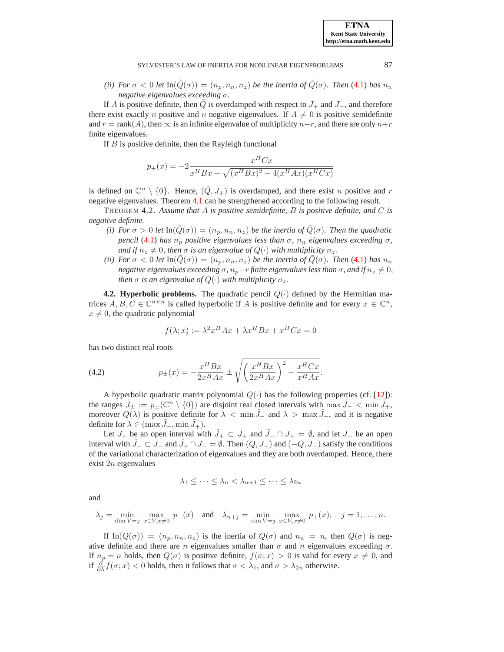*(ii)* For  $\sigma < 0$  let  $\text{In}(Q(\sigma)) = (n_p, n_n, n_z)$  be the inertia of  $Q(\sigma)$ . Then [\(4.1\)](#page-4-0) has  $n_n$ *negative eigenvalues exceeding* σ*.*

If A is positive definite, then Q is overdamped with respect to  $J_+$  and  $J_-$ , and therefore there exist exactly *n* positive and *n* negative eigenvalues. If  $A \neq 0$  is positive semidefinite and  $r = \text{rank}(A)$ , then  $\infty$  is an infinite eigenvalue of multiplicity  $n-r$ , and there are only  $n+r$ finite eigenvalues.

If  $B$  is positive definite, then the Rayleigh functional

$$
p_{+}(x) = -2 \frac{x^{H}Cx}{x^{H}Bx + \sqrt{(x^{H}Bx)^{2} - 4(x^{H}Ax)(x^{H}Cx)}}
$$

is defined on  $\mathbb{C}^n \setminus \{0\}$ . Hence,  $(\tilde{Q}, J_+)$  is overdamped, and there exist n positive and r negative eigenvalues. Theorem [4.1](#page-4-1) can be strengthened according to the following result.

THEOREM 4.2. *Assume that* A *is positive semidefinite,* B *is positive definite, and* C *is negative definite.*

- *(i)* For  $\sigma > 0$  *let*  $\text{In}(\tilde{Q}(\sigma)) = (n_p, n_n, n_z)$  *be the inertia of*  $Q(\sigma)$ *. Then the quadratic pencil* [\(4.1\)](#page-4-0) *has*  $n_p$  *positive eigenvalues less than*  $\sigma$ *,*  $n_n$  *eigenvalues exceeding*  $\sigma$ *, and if*  $n_z \neq 0$ , *then*  $\sigma$  *is an eigenvalue of*  $Q(\cdot)$  *with multiplicity*  $n_z$ .
- *(ii)* For  $\sigma < 0$  let  $\text{In}(\tilde{Q}(\sigma)) = (n_p, n_n, n_z)$  be the inertia of  $\tilde{Q}(\sigma)$ . Then [\(4.1\)](#page-4-0) has  $n_n$ *negative eigenvalues exceeding*  $\sigma$ *,*  $n_p-r$  *finite eigenvalues less than*  $\sigma$ *, and if*  $n_z \neq 0$ *, then*  $\sigma$  *is an eigenvalue of*  $Q(\cdot)$  *with multiplicity*  $n_z$ *.*

**4.2. Hyperbolic problems.** The quadratic pencil  $Q(\cdot)$  defined by the Hermitian matrices  $A, B, C \in \mathbb{C}^{n \times n}$  is called hyperbolic if A is positive definite and for every  $x \in \mathbb{C}^n$ ,  $x \neq 0$ , the quadratic polynomial

<span id="page-5-0"></span>
$$
f(\lambda; x) := \lambda^2 x^H A x + \lambda x^H B x + x^H C x = 0
$$

has two distinct real roots

(4.2) 
$$
p_{\pm}(x) = -\frac{x^{H}Bx}{2x^{H}Ax} \pm \sqrt{\left(\frac{x^{H}Bx}{2x^{H}Ax}\right)^{2} - \frac{x^{H}Cx}{x^{H}Ax}}.
$$

A hyperbolic quadratic matrix polynomial  $Q(\cdot)$  has the following properties (cf. [\[12\]](#page-11-8)): the ranges  $\tilde{J}_\pm := p_\pm(\mathbb{C}^n \setminus \{0\})$  are disjoint real closed intervals with  $\max \tilde{J}_- < \min \tilde{J}_+$ , moreover  $Q(\lambda)$  is positive definite for  $\lambda < \min J_-\,$  and  $\lambda > \max J_+$ , and it is negative definite for  $\lambda \in (\max J_-, \min J_+).$ 

Let  $J_+$  be an open interval with  $\tilde{J}_+ \subset J_+$  and  $\tilde{J}_- \cap J_+ = \emptyset$ , and let  $J_-$  be an open interval with  $\tilde{J}_- \subset J_-$  and  $\tilde{J}_+ \cap J_- = \emptyset$ . Then  $(Q, J_+)$  and  $(-Q, J_-)$  satisfy the conditions of the variational characterization of eigenvalues and they are both overdamped. Hence, there exist 2n eigenvalues

$$
\lambda_1 \leq \cdots \leq \lambda_n < \lambda_{n+1} \leq \cdots \leq \lambda_{2n}
$$

and

$$
\lambda_j = \min_{\dim V = j} \max_{x \in V, x \neq 0} p_-(x) \quad \text{and} \quad \lambda_{n+j} = \min_{\dim V = j} \max_{x \in V, x \neq 0} p_+(x), \quad j = 1, \dots, n.
$$

If  $\text{In}(Q(\sigma)) = (n_p, n_n, n_z)$  is the inertia of  $Q(\sigma)$  and  $n_n = n$ , then  $Q(\sigma)$  is negative definite and there are n eigenvalues smaller than  $\sigma$  and  $n$  eigenvalues exceeding  $\sigma$ . If  $n_p = n$  holds, then  $Q(\sigma)$  is positive definite,  $f(\sigma; x) > 0$  is valid for every  $x \neq 0$ , and if  $\frac{\partial}{\partial \lambda} f(\sigma; x) < 0$  holds, then it follows that  $\sigma < \lambda_1$ , and  $\sigma > \lambda_{2n}$  otherwise.

**ETNA Kent State University http://etna.math.kent.edu**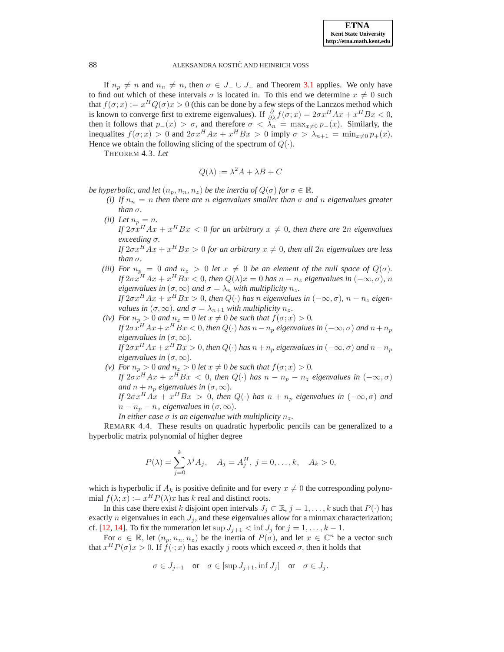If  $n_p \neq n$  and  $n_n \neq n$ , then  $\sigma \in J_- \cup J_+$  and Theorem [3.1](#page-2-1) applies. We only have to find out which of these intervals  $\sigma$  is located in. To this end we determine  $x \neq 0$  such that  $f(\sigma; x) := x^H Q(\sigma) x > 0$  (this can be done by a few steps of the Lanczos method which is known to converge first to extreme eigenvalues). If  $\frac{\partial}{\partial \lambda} f(\sigma; x) = 2\sigma x^H A x + x^H B x < 0$ , then it follows that  $p_-(x) > \sigma$ , and therefore  $\sigma < \lambda_n = \max_{x \neq 0} p_-(x)$ . Similarly, the inequalites  $f(\sigma; x) > 0$  and  $2\sigma x^H A x + x^H B x > 0$  imply  $\sigma > \lambda_{n+1} = \min_{x \neq 0} p_+(x)$ . Hence we obtain the following slicing of the spectrum of  $Q(\cdot)$ .

THEOREM 4.3. *Let*

$$
Q(\lambda) := \lambda^2 A + \lambda B + C
$$

*be hyperbolic, and let*  $(n_p, n_n, n_z)$  *be the inertia of*  $Q(\sigma)$  *for*  $\sigma \in \mathbb{R}$ *.* 

- *(i)* If  $n_n = n$  then there are n eigenvalues smaller than  $\sigma$  and n eigenvalues greater *than*  $\sigma$ *.*
- *(ii)* Let  $n_p = n$ . *If*  $2\sigma x^H Ax + x^H Bx < 0$  for an arbitrary  $x \neq 0$ , then there are  $2n$  eigenvalues *exceeding* σ*.*

*If*  $2\sigma x^{H}Ax + x^{H}Bx > 0$  for an arbitrary  $x \neq 0$ , then all  $2n$  eigenvalues are less *than*  $\sigma$ *.* 

- *(iii)* For  $n_p = 0$  *and*  $n_z > 0$  *let*  $x \neq 0$  *be an element of the null space of*  $Q(\sigma)$ *. If*  $2\sigma x^{H}Ax + x^{H}Bx < 0$ , then  $Q(\lambda)x = 0$  has  $n - n_{z}$  eigenvalues in  $(-\infty, \sigma)$ , n *eigenvalues in*  $(\sigma, \infty)$  *and*  $\sigma = \lambda_n$  *with multiplicity*  $n_z$ *. If*  $2\sigma x^H A x + x^H B x > 0$ , then  $Q(·)$  has n eigenvalues in  $(-\infty, \sigma)$ ,  $n - n_z$  eigen*values in*  $(\sigma, \infty)$ *, and*  $\sigma = \lambda_{n+1}$  *with multiplicity*  $n_z$ *.*
- *(iv)* For  $n_p > 0$  *and*  $n_z = 0$  *let*  $x \neq 0$  *be such that*  $f(\sigma; x) > 0$ *.* If  $2\sigma x^{H}Ax + x^{H}Bx < 0,$  then  $Q(\cdot)$  has  $n - n_{p}$  eigenvalues in  $(-\infty,\sigma)$  and  $n + n_{p}$ *eigenvalues in*  $(\sigma, \infty)$ *. If*  $2\sigma x^{H}Ax + x^{H}Bx > 0$ , then  $Q(\cdot)$  has  $n + n_{p}$  eigenvalues in  $(-\infty, \sigma)$  and  $n - n_{p}$ *eigenvalues in*  $(\sigma, \infty)$ *.*
- *(v) For*  $n_p > 0$  *and*  $n_z > 0$  *let*  $x \neq 0$  *be such that*  $f(\sigma; x) > 0$ *. If*  $2\sigma x^H Ax + x^H Bx < 0$ , then  $Q(·)$  has  $n - n_p - n_z$  eigenvalues in  $(-\infty, \sigma)$ *and*  $n + n_p$  *eigenvalues in*  $(\sigma, \infty)$ *. If*  $2\sigma x^H Ax + x^H Bx > 0$ , then  $Q(·)$  has  $n + n_p$  eigenvalues in  $(-\infty, \sigma)$  and  $n - n_p - n_z$  *eigenvalues in*  $(\sigma, \infty)$ .

*In either case*  $\sigma$  *is an eigenvalue with multiplicity*  $n_z$ *.* 

REMARK 4.4. These results on quadratic hyperbolic pencils can be generalized to a hyperbolic matrix polynomial of higher degree

$$
P(\lambda) = \sum_{j=0}^{k} \lambda^{j} A_{j}, \quad A_{j} = A_{j}^{H}, \ j = 0, \dots, k, \quad A_{k} > 0,
$$

which is hyperbolic if  $A_k$  is positive definite and for every  $x \neq 0$  the corresponding polynomial  $f(\lambda; x) := x^H P(\lambda) x$  has k real and distinct roots.

In this case there exist k disjoint open intervals  $J_i \subset \mathbb{R}$ ,  $j = 1, \ldots, k$  such that  $P(\cdot)$  has exactly *n* eigenvalues in each  $J_i$ , and these eigenvalues allow for a minmax characterization; cf. [\[12,](#page-11-8) [14\]](#page-11-9). To fix the numeration let sup  $J_{j+1} < \inf J_j$  for  $j = 1, \ldots, k - 1$ .

For  $\sigma \in \mathbb{R}$ , let  $(n_p, n_n, n_z)$  be the inertia of  $P(\sigma)$ , and let  $x \in \mathbb{C}^n$  be a vector such that  $x^H P(\sigma) x > 0$ . If  $f(\cdot; x)$  has exactly j roots which exceed  $\sigma$ , then it holds that

$$
\sigma \in J_{j+1}
$$
 or  $\sigma \in [\sup J_{j+1}, \inf J_j]$  or  $\sigma \in J_j$ .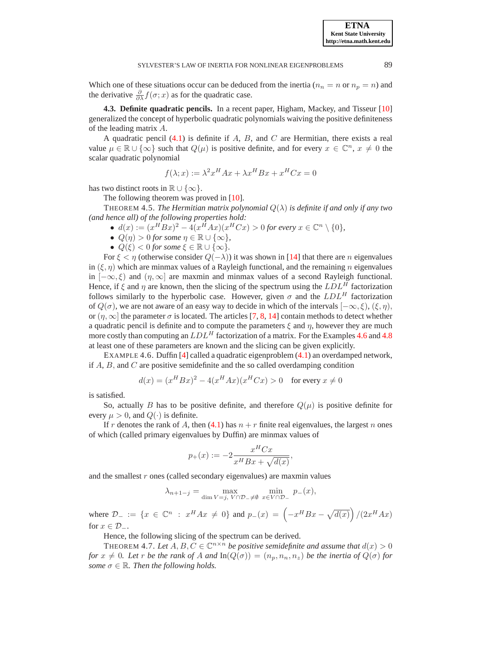Which one of these situations occur can be deduced from the inertia ( $n_n = n$  or  $n_p = n$ ) and the derivative  $\frac{\partial}{\partial \lambda} f(\sigma; x)$  as for the quadratic case.

**4.3. Definite quadratic pencils.** In a recent paper, Higham, Mackey, and Tisseur [\[10\]](#page-11-10) generalized the concept of hyperbolic quadratic polynomials waiving the positive definiteness of the leading matrix A.

A quadratic pencil  $(4.1)$  is definite if A, B, and C are Hermitian, there exists a real value  $\mu \in \mathbb{R} \cup \{\infty\}$  such that  $Q(\mu)$  is positive definite, and for every  $x \in \mathbb{C}^n$ ,  $x \neq 0$  the scalar quadratic polynomial

$$
f(\lambda; x) := \lambda^2 x^H A x + \lambda x^H B x + x^H C x = 0
$$

has two distinct roots in  $\mathbb{R} \cup \{\infty\}.$ 

The following theorem was proved in [\[10\]](#page-11-10).

**THEOREM 4.5.** *The Hermitian matrix polynomial*  $Q(\lambda)$  *is definite if and only if any two (and hence all) of the following properties hold:*

•  $d(x) := (x^H B x)^2 - 4(x^H A x)(x^H C x) > 0$  for every  $x \in \mathbb{C}^n \setminus \{0\},$ 

- $Q(\eta) > 0$  for some  $\eta \in \mathbb{R} \cup \{\infty\},\$
- $Q(\xi) < 0$  for some  $\xi \in \mathbb{R} \cup \{\infty\}$ .

For  $\xi < \eta$  (otherwise consider  $Q(-\lambda)$ ) it was shown in [\[14\]](#page-11-9) that there are *n* eigenvalues in  $(\xi, \eta)$  which are minmax values of a Rayleigh functional, and the remaining n eigenvalues in  $[-\infty, \xi]$  and  $(\eta, \infty]$  are maxmin and minmax values of a second Rayleigh functional. Hence, if  $\xi$  and  $\eta$  are known, then the slicing of the spectrum using the  $LDL^H$  factorization follows similarly to the hyperbolic case. However, given  $\sigma$  and the  $LDL<sup>H</sup>$  factorization of  $Q(\sigma)$ , we are not aware of an easy way to decide in which of the intervals  $[-\infty, \xi)$ ,  $(\xi, \eta)$ , or  $(\eta,\infty]$  the parameter  $\sigma$  is located. The articles [\[7,](#page-10-6) [8,](#page-11-11) [14\]](#page-11-9) contain methods to detect whether a quadratic pencil is definite and to compute the parameters  $\xi$  and  $\eta$ , however they are much more costly than computing an  $LDL<sup>H</sup>$  factorization of a matrix. For the Examples [4.6](#page-7-0) and [4.8](#page-8-0) at least one of these parameters are known and the slicing can be given explicitly.

<span id="page-7-0"></span>EXAMPLE 4.6. Duffin [\[4\]](#page-10-4) called a quadratic eigenproblem [\(4.1\)](#page-4-0) an overdamped network, if  $A, B$ , and  $C$  are positive semidefinite and the so called overdamping condition

$$
d(x) = (x^H B x)^2 - 4(x^H A x)(x^H C x) > 0 \quad \text{for every } x \neq 0
$$

is satisfied.

So, actually B has to be positive definite, and therefore  $Q(\mu)$  is positive definite for every  $\mu > 0$ , and  $Q(\cdot)$  is definite.

If r denotes the rank of A, then [\(4.1\)](#page-4-0) has  $n + r$  finite real eigenvalues, the largest n ones of which (called primary eigenvalues by Duffin) are minmax values of

$$
p_{+}(x) := -2 \frac{x^{H}Cx}{x^{H}Bx + \sqrt{d(x)}}
$$

,

and the smallest  $r$  ones (called secondary eigenvalues) are maxmin values

$$
\lambda_{n+1-j} = \max_{\dim V = j, V \cap \mathcal{D}_-\neq \emptyset} \min_{x \in V \cap \mathcal{D}_-} p_-(x),
$$

where  $\mathcal{D}_- := \{x \in \mathbb{C}^n : x^H A x \neq 0\}$  and  $p_-(x) = \left(-x^H B x - \sqrt{d(x)}\right)/(2x^H A x)$ for  $x \in \mathcal{D}_-$ .

Hence, the following slicing of the spectrum can be derived.

THEOREM 4.7. Let  $A, B, C \in \mathbb{C}^{n \times n}$  be positive semidefinite and assume that  $d(x) > 0$ *for*  $x \neq 0$ *. Let* r *be the rank of* A *and*  $\ln(Q(\sigma)) = (n_p, n_n, n_z)$  *be the inertia of*  $Q(\sigma)$  *for some*  $\sigma \in \mathbb{R}$ *. Then the following holds.*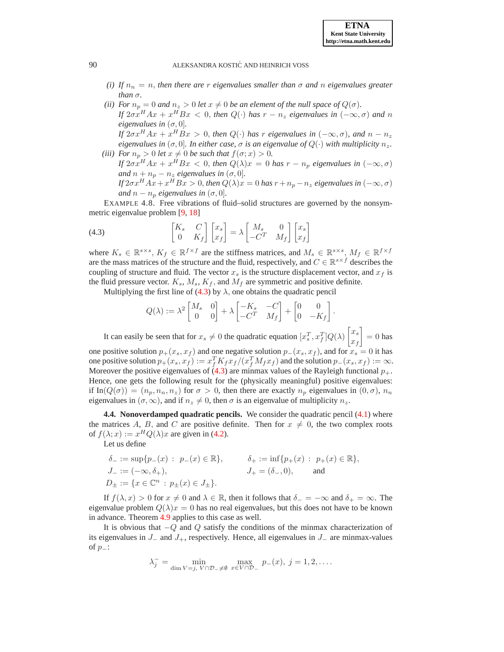- *(i)* If  $n_n = n$ , then there are r eigenvalues smaller than  $\sigma$  and n eigenvalues greater *than*  $\sigma$ *.*
- *(ii) For*  $n_p = 0$  *and*  $n_z > 0$  *let*  $x \neq 0$  *be an element of the null space of*  $Q(\sigma)$ *. If*  $2\sigma x^{H}Ax + x^{H}Bx < 0$ , then  $Q(\cdot)$  has  $r - n_{z}$  eigenvalues in  $(-\infty, \sigma)$  and n *eigenvalues in*  $(\sigma, 0)$ *. If*  $2\sigma x^{H}Ax + x^{H}Bx > 0$ , then  $Q(\cdot)$  has r eigenvalues in  $(-\infty, \sigma)$ , and  $n - n_{z}$

*eigenvalues in*  $(\sigma, 0]$ *. In either case,*  $\sigma$  *is an eigenvalue of*  $Q(\cdot)$  *with multiplicity*  $n_z$ *. (iii)* For  $n_p > 0$  *let*  $x \neq 0$  *be such that*  $f(\sigma; x) > 0$ *.* 

*If*  $2\sigma x^H Ax + x^H Bx < 0$ , then  $Q(\lambda)x = 0$  has  $r - n_p$  eigenvalues in  $(-\infty, \sigma)$ *and*  $n + n_p - n_z$  *eigenvalues in*  $(\sigma, 0)$ *.* 

<span id="page-8-1"></span>*If*  $2\sigma x^{H}Ax + x^{H}Bx > 0$ , then  $Q(\lambda)x = 0$  has  $r + n_{p} - n_{z}$  eigenvalues in  $(-\infty, \sigma)$ *and*  $n - n_p$  *eigenvalues in* ( $\sigma$ , 0].

<span id="page-8-0"></span>EXAMPLE 4.8. Free vibrations of fluid–solid structures are governed by the nonsymmetric eigenvalue problem [\[9,](#page-11-12) [18\]](#page-11-13)

(4.3) 
$$
\begin{bmatrix} K_s & C \ 0 & K_f \end{bmatrix} \begin{bmatrix} x_s \\ x_f \end{bmatrix} = \lambda \begin{bmatrix} M_s & 0 \\ -C^T & M_f \end{bmatrix} \begin{bmatrix} x_s \\ x_f \end{bmatrix}
$$

where  $K_s \in \mathbb{R}^{s \times s}$ ,  $K_f \in \mathbb{R}^{f \times f}$  are the stiffness matrices, and  $M_s \in \mathbb{R}^{s \times s}$ ,  $M_f \in \mathbb{R}^{f \times f}$ are the mass matrices of the structure and the fluid, respectively, and  $C \in \mathbb{R}^{s \times f}$  describes the coupling of structure and fluid. The vector  $x_s$  is the structure displacement vector, and  $x_f$  is the fluid pressure vector.  $K_s$ ,  $M_s$ ,  $K_f$ , and  $M_f$  are symmetric and positive definite.

Multiplying the first line of [\(4.3\)](#page-8-1) by  $\lambda$ , one obtains the quadratic pencil

$$
Q(\lambda) := \lambda^2 \begin{bmatrix} M_s & 0 \\ 0 & 0 \end{bmatrix} + \lambda \begin{bmatrix} -K_s & -C \\ -C^T & M_f \end{bmatrix} + \begin{bmatrix} 0 & 0 \\ 0 & -K_f \end{bmatrix}.
$$

It can easily be seen that for  $x_s \neq 0$  the quadratic equation  $[x_s^T, x_f^T] Q(\lambda) \begin{bmatrix} x_s \\ x_s \end{bmatrix}$  $x_f$  $\Big] = 0$  has one positive solution  $p_{+}(x_s, x_f)$  and one negative solution  $p_{-}(x_s, x_f)$ , and for  $x_s = 0$  it has one positive solution  $p_+(x_s, x_f) := x_f^T K_f x_f/(x_f^T M_f x_f)$  and the solution  $p_-(x_s, x_f) := \infty$ . Moreover the positive eigenvalues of  $(4.3)$  are minmax values of the Rayleigh functional  $p_{+}$ . Hence, one gets the following result for the (physically meaningful) positive eigenvalues: if In( $Q(\sigma) = (n_p, n_n, n_z)$  for  $\sigma > 0$ , then there are exactly  $n_p$  eigenvalues in  $(0, \sigma)$ ,  $n_n$ eigenvalues in  $(\sigma, \infty)$ , and if  $n_z \neq 0$ , then  $\sigma$  is an eigenvalue of multiplicity  $n_z$ .

**4.4. Nonoverdamped quadratic pencils.** We consider the quadratic pencil [\(4.1\)](#page-4-0) where the matrices A, B, and C are positive definite. Then for  $x \neq 0$ , the two complex roots of  $f(\lambda; x) := x^H Q(\lambda) x$  are given in [\(4.2\)](#page-5-0).

Let us define

$$
\delta_{-} := \sup \{ p_{-}(x) : p_{-}(x) \in \mathbb{R} \}, \qquad \delta_{+} := \inf \{ p_{+}(x) : p_{+}(x) \in \mathbb{R} \},
$$
  
\n
$$
J_{-} := (-\infty, \delta_{+}), \qquad J_{+} = (\delta_{-}, 0), \qquad \text{and}
$$
  
\n
$$
D_{\pm} := \{ x \in \mathbb{C}^{n} : p_{\pm}(x) \in J_{\pm} \}.
$$

If  $f(\lambda, x) > 0$  for  $x \neq 0$  and  $\lambda \in \mathbb{R}$ , then it follows that  $\delta_{-} = -\infty$  and  $\delta_{+} = \infty$ . The eigenvalue problem  $Q(\lambda)x = 0$  has no real eigenvalues, but this does not have to be known in advance. Theorem [4.9](#page-9-0) applies to this case as well.

It is obvious that −Q and Q satisfy the conditions of the minmax characterization of its eigenvalues in  $J_$  and  $J_+$ , respectively. Hence, all eigenvalues in  $J_$  are minmax-values of  $p_$ :

$$
\lambda_j^- = \min_{\dim V = j, V \cap \mathcal{D}_- \neq \emptyset} \max_{x \in V \cap \mathcal{D}_-} p_-(x), \ j = 1, 2, \dots
$$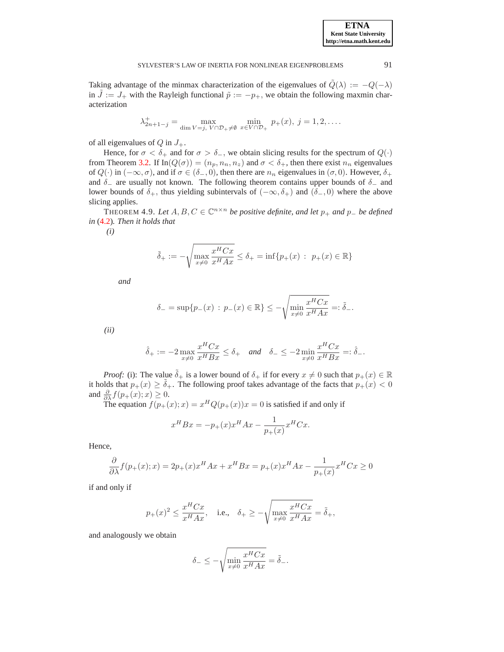Taking advantage of the minmax characterization of the eigenvalues of  $\tilde{Q}(\lambda) := -Q(-\lambda)$ in  $\tilde{J} := J_+$  with the Rayleigh functional  $\tilde{p} := -p_+$ , we obtain the following maxmin characterization

$$
\lambda_{2n+1-j}^+ = \max_{\dim V = j, V \cap \mathcal{D}_+ \neq \emptyset} \min_{x \in V \cap \mathcal{D}_+} p_+(x), j = 1, 2, \dots
$$

of all eigenvalues of  $Q$  in  $J_+$ .

Hence, for  $\sigma < \delta_+$  and for  $\sigma > \delta_-$ , we obtain slicing results for the spectrum of  $Q(\cdot)$ from Theorem [3.2.](#page-2-2) If  $In(Q(\sigma)) = (n_p, n_n, n_z)$  and  $\sigma < \delta_+$ , then there exist  $n_n$  eigenvalues of  $Q(\cdot)$  in  $(-\infty, \sigma)$ , and if  $\sigma \in (\delta_-, 0)$ , then there are  $n_n$  eigenvalues in  $(\sigma, 0)$ . However,  $\delta_+$ and  $\delta_$  are usually not known. The following theorem contains upper bounds of  $\delta_$  and lower bounds of  $\delta_+$ , thus yielding subintervals of  $(-\infty, \delta_+)$  and  $(\delta_-, 0)$  where the above slicing applies.

<span id="page-9-0"></span>THEOREM 4.9. Let  $A, B, C \in \mathbb{C}^{n \times n}$  be positive definite, and let  $p_+$  and  $p_-$  be defined *in* [\(4.2\)](#page-5-0)*. Then it holds that*

*(i)*

$$
\tilde{\delta}_{+} := -\sqrt{\max_{x \neq 0} \frac{x^{H} C x}{x^{H} A x}} \leq \delta_{+} = \inf \{ p_{+}(x) : p_{+}(x) \in \mathbb{R} \}
$$

*and*

$$
\delta_{-} = \sup \{ p_{-}(x) : p_{-}(x) \in \mathbb{R} \} \le -\sqrt{\min_{x \neq 0} \frac{x^{H}Cx}{x^{H}Ax}} =: \tilde{\delta}_{-}.
$$

*(ii)*

$$
\hat{\delta}_+ := -2 \max_{x \neq 0} \frac{x^H C x}{x^H B x} \le \delta_+ \quad \text{and} \quad \delta_- \le -2 \min_{x \neq 0} \frac{x^H C x}{x^H B x} =: \hat{\delta}_-.
$$

*Proof:* (i): The value  $\tilde{\delta}_+$  is a lower bound of  $\delta_+$  if for every  $x \neq 0$  such that  $p_+(x) \in \mathbb{R}$ it holds that  $p_+(x) \geq \tilde{\delta}_+$ . The following proof takes advantage of the facts that  $p_+(x) < 0$ and  $\frac{\partial}{\partial \lambda} f(p_+(x); x) \geq 0$ .

The equation  $f(p_+(x); x) = x^H Q(p_+(x))x = 0$  is satisfied if and only if

$$
x^{H}Bx = -p_{+}(x)x^{H}Ax - \frac{1}{p_{+}(x)}x^{H}Cx.
$$

Hence,

$$
\frac{\partial}{\partial \lambda} f(p_+(x);x) = 2p_+(x)x^H Ax + x^H Bx = p_+(x)x^H Ax - \frac{1}{p_+(x)}x^H Cx \ge 0
$$

if and only if

$$
p_+(x)^2\leq \frac{x^HCx}{x^HAx}, \quad \text{i.e.,}\quad \delta_+\geq -\sqrt{\max_{x\neq 0}\frac{x^HCx}{x^HAx}}=\tilde{\delta}_+,
$$

and analogously we obtain

$$
\delta_- \leq -\sqrt{\min_{x\neq 0}\frac{x^HCx}{x^HAx}} = \tilde{\delta}_-.
$$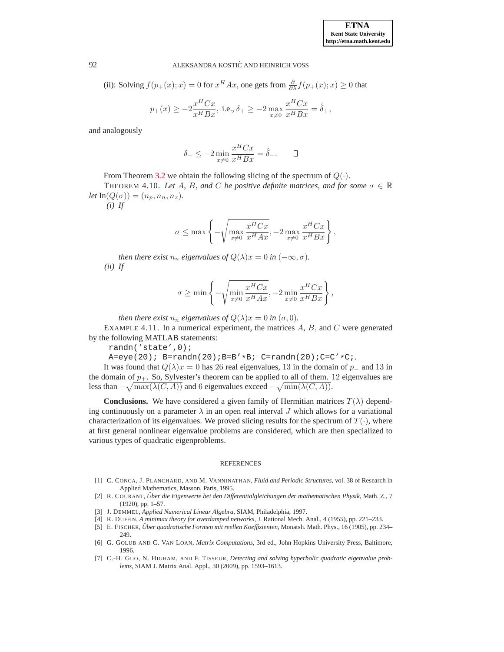(ii): Solving  $f(p_+(x); x) = 0$  for  $x^H A x$ , one gets from  $\frac{\partial}{\partial \lambda} f(p_+(x); x) \ge 0$  that

$$
p_{+}(x) \ge -2\frac{x^{H}Cx}{x^{H}Bx}
$$
, i.e.,  $\delta_{+} \ge -2\max_{x \neq 0} \frac{x^{H}Cx}{x^{H}Bx} = \hat{\delta}_{+}$ ,

and analogously

$$
\delta_- \le -2 \min_{x \neq 0} \frac{x^H C x}{x^H B x} = \hat{\delta}_-. \qquad \Box
$$

From Theorem [3.2](#page-2-2) we obtain the following slicing of the spectrum of  $Q(\cdot)$ .

THEOREM 4.10. *Let* A, B, and C be positive definite matrices, and for some  $\sigma \in \mathbb{R}$  $let \, \text{In}(Q(\sigma)) = (n_p, n_n, n_z).$ 

*(i) If*

$$
\sigma \le \max\left\{-\sqrt{\max_{x\neq 0} \frac{x^H C x}{x^H A x}}, -2 \max_{x\neq 0} \frac{x^H C x}{x^H B x}\right\},\,
$$

*then there exist*  $n_n$  *eigenvalues of*  $Q(\lambda)x = 0$  *in*  $(-\infty, \sigma)$ *. (ii) If*

$$
\sigma \ge \min \left\{ -\sqrt{\min_{x \neq 0} \frac{x^H C x}{x^H A x}}, -2 \min_{x \neq 0} \frac{x^H C x}{x^H B x} \right\},\,
$$

*then there exist*  $n_n$  *eigenvalues of*  $Q(\lambda)x = 0$  *in*  $(\sigma, 0)$ *.* 

EXAMPLE 4.11. In a numerical experiment, the matrices  $A, B$ , and  $C$  were generated by the following MATLAB statements:

randn('state',0);

 $A=eye(20); B=randn(20); B=B'*B; C=randn(20); C=C'*C;$ 

It was found that  $Q(\lambda)x = 0$  has 26 real eigenvalues, 13 in the domain of  $p_$  and 13 in the domain of  $p_+$ . So, Sylvester's theorem can be applied to all of them. 12 eigenvalues are less than  $-\sqrt{\max(\lambda(C, A))}$  and 6 eigenvalues exceed  $-\sqrt{\min(\lambda(C, A))}$ .

**Conclusions.** We have considered a given family of Hermitian matrices  $T(\lambda)$  depending continuously on a parameter  $\lambda$  in an open real interval J which allows for a variational characterization of its eigenvalues. We proved slicing results for the spectrum of  $T(\cdot)$ , where at first general nonlinear eigenvalue problems are considered, which are then specialized to various types of quadratic eigenproblems.

#### REFERENCES

- <span id="page-10-5"></span>[1] C. CONCA, J. PLANCHARD, AND M. VANNINATHAN, *Fluid and Periodic Structures*, vol. 38 of Research in Applied Mathematics, Masson, Paris, 1995.
- <span id="page-10-2"></span>[2] R. COURANT, *Uber die Eigenwerte bei den Differentialgleichungen der ma ¨ thematischen Physik*, Math. Z., 7 (1920), pp. 1–57.
- <span id="page-10-4"></span><span id="page-10-0"></span>[3] J. DEMMEL, *Applied Numerical Linear Algebra*, SIAM, Philadelphia, 1997.
- <span id="page-10-3"></span>[4] R. DUFFIN, *A minimax theory for overdamped networks*, J. Rational Mech. Anal., 4 (1955), pp. 221–233.
- [5] E. FISCHER, *Über quadratische Formen mit reellen Koeffizienten*, Monatsh. Math. Phys., 16 (1905), pp. 234– 249.
- <span id="page-10-1"></span>[6] G. GOLUB AND C. VAN LOAN, *Matrix Computations*, 3rd ed., John Hopkins University Press, Baltimore, 1996.
- <span id="page-10-6"></span>[7] C.-H. GUO, N. HIGHAM, AND F. TISSEUR, *Detecting and solving hyperbolic quadratic eigenvalue problems*, SIAM J. Matrix Anal. Appl., 30 (2009), pp. 1593–1613.